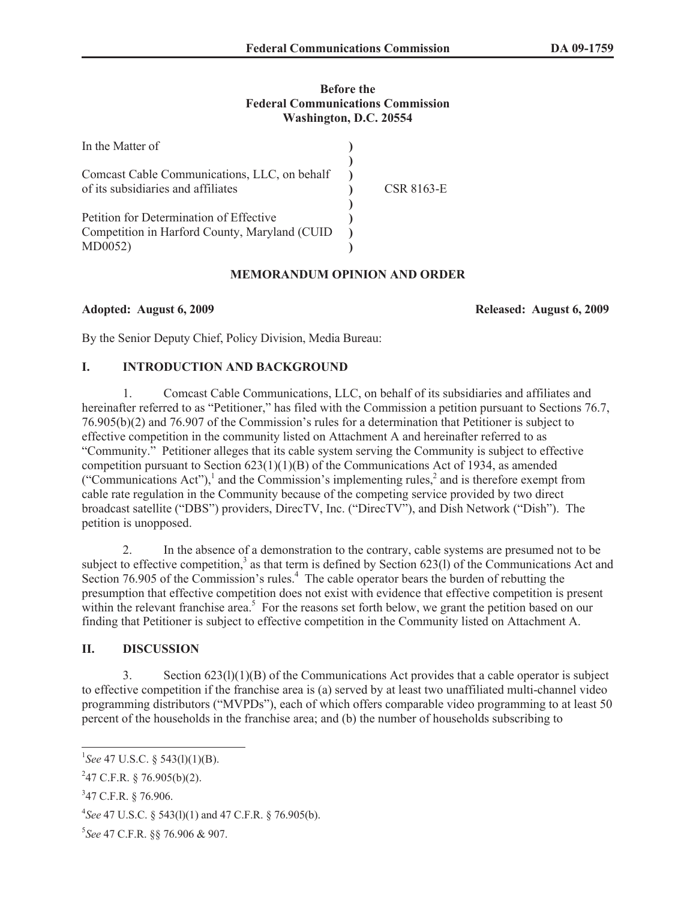#### **Before the Federal Communications Commission Washington, D.C. 20554**

| In the Matter of                                                                                     |            |
|------------------------------------------------------------------------------------------------------|------------|
| Comcast Cable Communications, LLC, on behalf<br>of its subsidiaries and affiliates                   | CSR 8163-E |
| Petition for Determination of Effective<br>Competition in Harford County, Maryland (CUID)<br>MD0052) |            |

## **MEMORANDUM OPINION AND ORDER**

**Adopted: August 6, 2009 Released: August 6, 2009**

By the Senior Deputy Chief, Policy Division, Media Bureau:

## **I. INTRODUCTION AND BACKGROUND**

1. Comcast Cable Communications, LLC, on behalf of its subsidiaries and affiliates and hereinafter referred to as "Petitioner," has filed with the Commission a petition pursuant to Sections 76.7, 76.905(b)(2) and 76.907 of the Commission's rules for a determination that Petitioner is subject to effective competition in the community listed on Attachment A and hereinafter referred to as "Community." Petitioner alleges that its cable system serving the Community is subject to effective competition pursuant to Section  $623(1)(1)(B)$  of the Communications Act of 1934, as amended ("Communications Act"),<sup>1</sup> and the Commission's implementing rules,<sup>2</sup> and is therefore exempt from cable rate regulation in the Community because of the competing service provided by two direct broadcast satellite ("DBS") providers, DirecTV, Inc. ("DirecTV"), and Dish Network ("Dish"). The petition is unopposed.

2. In the absence of a demonstration to the contrary, cable systems are presumed not to be subject to effective competition,<sup>3</sup> as that term is defined by Section  $623(1)$  of the Communications Act and Section 76.905 of the Commission's rules.<sup>4</sup> The cable operator bears the burden of rebutting the presumption that effective competition does not exist with evidence that effective competition is present within the relevant franchise area.<sup>5</sup> For the reasons set forth below, we grant the petition based on our finding that Petitioner is subject to effective competition in the Community listed on Attachment A.

#### **II. DISCUSSION**

3. Section 623(l)(1)(B) of the Communications Act provides that a cable operator is subject to effective competition if the franchise area is (a) served by at least two unaffiliated multi-channel video programming distributors ("MVPDs"), each of which offers comparable video programming to at least 50 percent of the households in the franchise area; and (b) the number of households subscribing to

<sup>&</sup>lt;sup>1</sup>See 47 U.S.C. § 543(1)(1)(B).

 $247$  C.F.R. § 76.905(b)(2).

<sup>&</sup>lt;sup>3</sup>47 C.F.R. § 76.906.

<sup>4</sup> *See* 47 U.S.C. § 543(l)(1) and 47 C.F.R. § 76.905(b).

<sup>5</sup> *See* 47 C.F.R. §§ 76.906 & 907.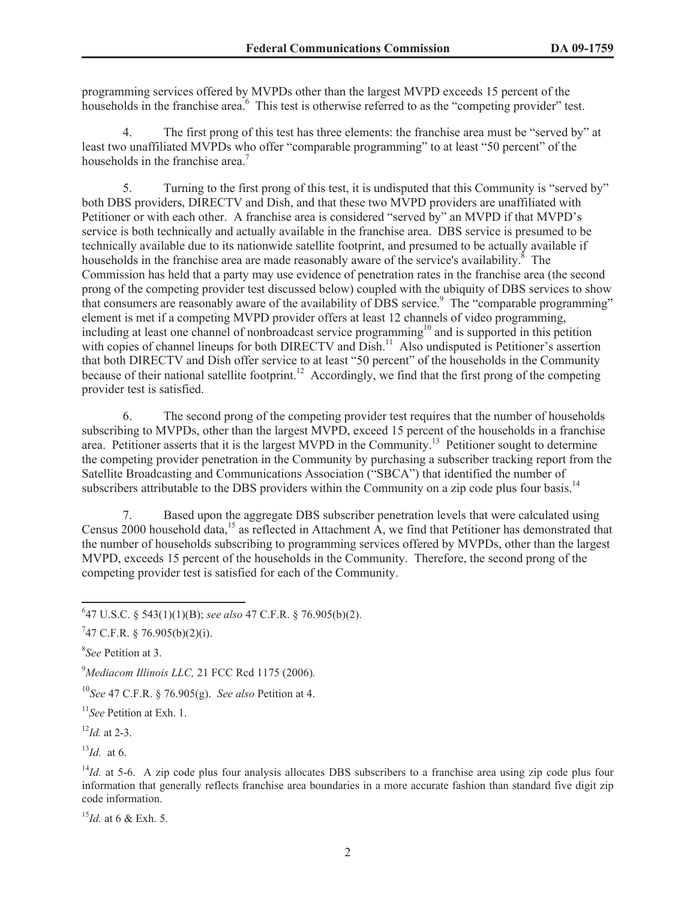programming services offered by MVPDs other than the largest MVPD exceeds 15 percent of the households in the franchise area.<sup>6</sup> This test is otherwise referred to as the "competing provider" test.

4. The first prong of this test has three elements: the franchise area must be "served by" at least two unaffiliated MVPDs who offer "comparable programming" to at least "50 percent" of the households in the franchise area.<sup>7</sup>

5. Turning to the first prong of this test, it is undisputed that this Community is "served by" both DBS providers, DIRECTV and Dish, and that these two MVPD providers are unaffiliated with Petitioner or with each other. A franchise area is considered "served by" an MVPD if that MVPD's service is both technically and actually available in the franchise area. DBS service is presumed to be technically available due to its nationwide satellite footprint, and presumed to be actually available if households in the franchise area are made reasonably aware of the service's availability. $8$  The Commission has held that a party may use evidence of penetration rates in the franchise area (the second prong of the competing provider test discussed below) coupled with the ubiquity of DBS services to show that consumers are reasonably aware of the availability of DBS service.<sup>9</sup> The "comparable programming" element is met if a competing MVPD provider offers at least 12 channels of video programming, including at least one channel of nonbroadcast service programming<sup>10</sup> and is supported in this petition with copies of channel lineups for both DIRECTV and Dish.<sup>11</sup> Also undisputed is Petitioner's assertion that both DIRECTV and Dish offer service to at least "50 percent" of the households in the Community because of their national satellite footprint.<sup>12</sup> Accordingly, we find that the first prong of the competing provider test is satisfied.

6. The second prong of the competing provider test requires that the number of households subscribing to MVPDs, other than the largest MVPD, exceed 15 percent of the households in a franchise area. Petitioner asserts that it is the largest MVPD in the Community.<sup>13</sup> Petitioner sought to determine the competing provider penetration in the Community by purchasing a subscriber tracking report from the Satellite Broadcasting and Communications Association ("SBCA") that identified the number of subscribers attributable to the DBS providers within the Community on a zip code plus four basis.<sup>14</sup>

7. Based upon the aggregate DBS subscriber penetration levels that were calculated using Census 2000 household data,<sup>15</sup> as reflected in Attachment A, we find that Petitioner has demonstrated that the number of households subscribing to programming services offered by MVPDs, other than the largest MVPD, exceeds 15 percent of the households in the Community. Therefore, the second prong of the competing provider test is satisfied for each of the Community.

6 47 U.S.C. § 543(1)(1)(B); *see also* 47 C.F.R. § 76.905(b)(2).

<sup>9</sup>*Mediacom Illinois LLC,* 21 FCC Rcd 1175 (2006)*.*

<sup>10</sup>*See* 47 C.F.R. § 76.905(g). *See also* Petition at 4.

<sup>11</sup>*See* Petition at Exh. 1.

<sup>12</sup>*Id.* at 2-3.

 $^{13}$ *Id.* at 6.

<sup>15</sup>*Id.* at 6 & Exh. 5.

 $747$  C.F.R. § 76.905(b)(2)(i).

<sup>8</sup> *See* Petition at 3.

 $14$ *Id.* at 5-6. A zip code plus four analysis allocates DBS subscribers to a franchise area using zip code plus four information that generally reflects franchise area boundaries in a more accurate fashion than standard five digit zip code information.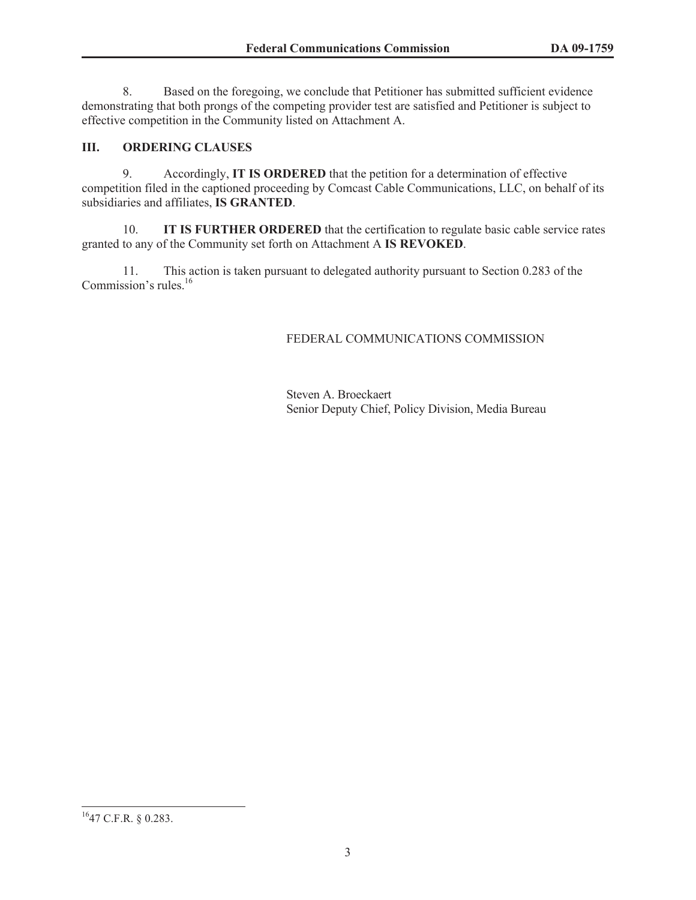8. Based on the foregoing, we conclude that Petitioner has submitted sufficient evidence demonstrating that both prongs of the competing provider test are satisfied and Petitioner is subject to effective competition in the Community listed on Attachment A.

### **III. ORDERING CLAUSES**

9. Accordingly, **IT IS ORDERED** that the petition for a determination of effective competition filed in the captioned proceeding by Comcast Cable Communications, LLC, on behalf of its subsidiaries and affiliates, **IS GRANTED**.

10. **IT IS FURTHER ORDERED** that the certification to regulate basic cable service rates granted to any of the Community set forth on Attachment A **IS REVOKED**.

11. This action is taken pursuant to delegated authority pursuant to Section 0.283 of the Commission's rules.<sup>16</sup>

## FEDERAL COMMUNICATIONS COMMISSION

Steven A. Broeckaert Senior Deputy Chief, Policy Division, Media Bureau

<sup>16</sup>47 C.F.R. § 0.283.